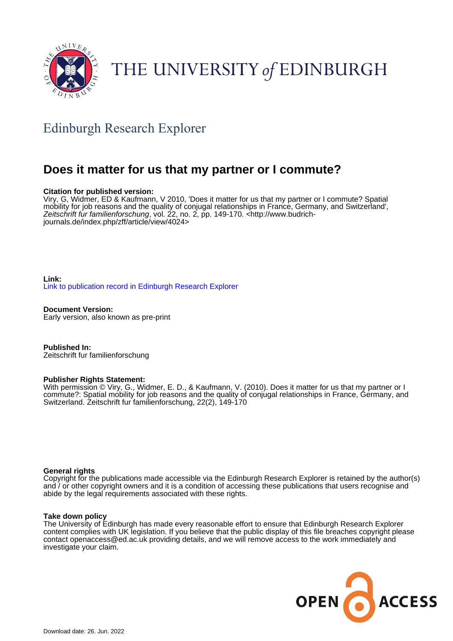

# THE UNIVERSITY of EDINBURGH

# Edinburgh Research Explorer

# **Does it matter for us that my partner or I commute?**

#### **Citation for published version:**

Viry, G, Widmer, ED & Kaufmann, V 2010, 'Does it matter for us that my partner or I commute? Spatial mobility for job reasons and the quality of conjugal relationships in France, Germany, and Switzerland', Zeitschrift fur familienforschung, vol. 22, no. 2, pp. 149-170. [<http://www.budrich](http://www.budrich-journals.de/index.php/zff/article/view/4024)[journals.de/index.php/zff/article/view/4024>](http://www.budrich-journals.de/index.php/zff/article/view/4024)

**Link:** [Link to publication record in Edinburgh Research Explorer](https://www.research.ed.ac.uk/en/publications/fd49583f-92b1-4547-8baf-ec510244dd28)

**Document Version:** Early version, also known as pre-print

**Published In:** Zeitschrift fur familienforschung

#### **Publisher Rights Statement:**

With permission © Viry, G., Widmer, E. D., & Kaufmann, V. (2010). Does it matter for us that my partner or I commute?: Spatial mobility for job reasons and the quality of conjugal relationships in France, Germany, and Switzerland. Zeitschrift fur familienforschung, 22(2), 149-170

#### **General rights**

Copyright for the publications made accessible via the Edinburgh Research Explorer is retained by the author(s) and / or other copyright owners and it is a condition of accessing these publications that users recognise and abide by the legal requirements associated with these rights.

#### **Take down policy**

The University of Edinburgh has made every reasonable effort to ensure that Edinburgh Research Explorer content complies with UK legislation. If you believe that the public display of this file breaches copyright please contact openaccess@ed.ac.uk providing details, and we will remove access to the work immediately and investigate your claim.

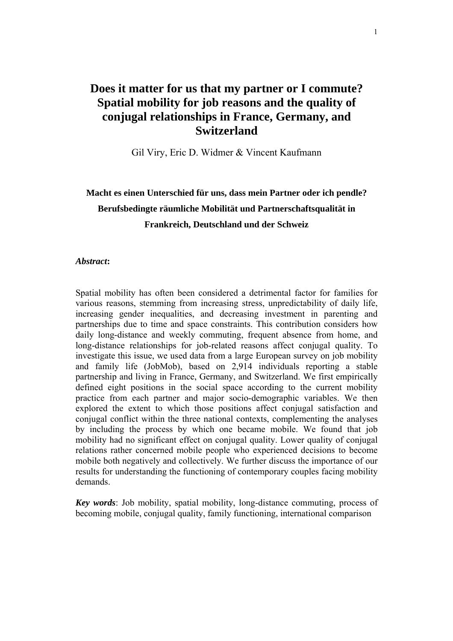# **Does it matter for us that my partner or I commute? Spatial mobility for job reasons and the quality of conjugal relationships in France, Germany, and Switzerland**

Gil Viry, Eric D. Widmer & Vincent Kaufmann

# **Macht es einen Unterschied für uns, dass mein Partner oder ich pendle? Berufsbedingte räumliche Mobilität und Partnerschaftsqualität in Frankreich, Deutschland und der Schweiz**

#### *Abstract***:**

Spatial mobility has often been considered a detrimental factor for families for various reasons, stemming from increasing stress, unpredictability of daily life, increasing gender inequalities, and decreasing investment in parenting and partnerships due to time and space constraints. This contribution considers how daily long-distance and weekly commuting, frequent absence from home, and long-distance relationships for job-related reasons affect conjugal quality. To investigate this issue, we used data from a large European survey on job mobility and family life (JobMob), based on 2,914 individuals reporting a stable partnership and living in France, Germany, and Switzerland. We first empirically defined eight positions in the social space according to the current mobility practice from each partner and major socio-demographic variables. We then explored the extent to which those positions affect conjugal satisfaction and conjugal conflict within the three national contexts, complementing the analyses by including the process by which one became mobile. We found that job mobility had no significant effect on conjugal quality. Lower quality of conjugal relations rather concerned mobile people who experienced decisions to become mobile both negatively and collectively. We further discuss the importance of our results for understanding the functioning of contemporary couples facing mobility demands.

*Key words*: Job mobility, spatial mobility, long-distance commuting, process of becoming mobile, conjugal quality, family functioning, international comparison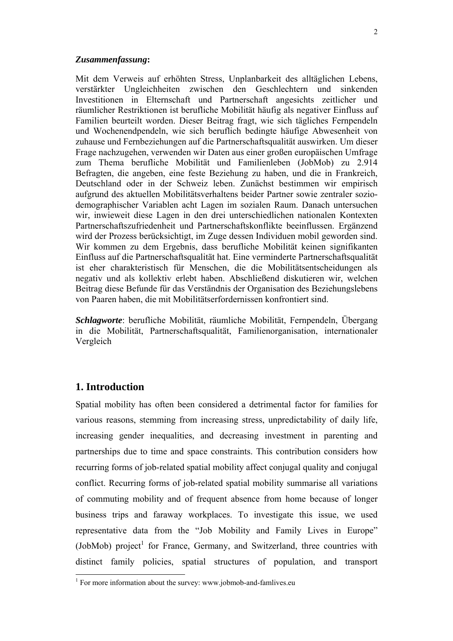#### *Zusammenfassung***:**

Mit dem Verweis auf erhöhten Stress, Unplanbarkeit des alltäglichen Lebens, verstärkter Ungleichheiten zwischen den Geschlechtern und sinkenden Investitionen in Elternschaft und Partnerschaft angesichts zeitlicher und räumlicher Restriktionen ist berufliche Mobilität häufig als negativer Einfluss auf Familien beurteilt worden. Dieser Beitrag fragt, wie sich tägliches Fernpendeln und Wochenendpendeln, wie sich beruflich bedingte häufige Abwesenheit von zuhause und Fernbeziehungen auf die Partnerschaftsqualität auswirken. Um dieser Frage nachzugehen, verwenden wir Daten aus einer großen europäischen Umfrage zum Thema berufliche Mobilität und Familienleben (JobMob) zu 2.914 Befragten, die angeben, eine feste Beziehung zu haben, und die in Frankreich, Deutschland oder in der Schweiz leben. Zunächst bestimmen wir empirisch aufgrund des aktuellen Mobilitätsverhaltens beider Partner sowie zentraler soziodemographischer Variablen acht Lagen im sozialen Raum. Danach untersuchen wir, inwieweit diese Lagen in den drei unterschiedlichen nationalen Kontexten Partnerschaftszufriedenheit und Partnerschaftskonflikte beeinflussen. Ergänzend wird der Prozess berücksichtigt, im Zuge dessen Individuen mobil geworden sind. Wir kommen zu dem Ergebnis, dass berufliche Mobilität keinen signifikanten Einfluss auf die Partnerschaftsqualität hat. Eine verminderte Partnerschaftsqualität ist eher charakteristisch für Menschen, die die Mobilitätsentscheidungen als negativ und als kollektiv erlebt haben. Abschließend diskutieren wir, welchen Beitrag diese Befunde für das Verständnis der Organisation des Beziehungslebens von Paaren haben, die mit Mobilitätserfordernissen konfrontiert sind.

*Schlagworte*: berufliche Mobilität, räumliche Mobilität, Fernpendeln, Übergang in die Mobilität, Partnerschaftsqualität, Familienorganisation, internationaler Vergleich

# **1. Introduction**

Spatial mobility has often been considered a detrimental factor for families for various reasons, stemming from increasing stress, unpredictability of daily life, increasing gender inequalities, and decreasing investment in parenting and partnerships due to time and space constraints. This contribution considers how recurring forms of job-related spatial mobility affect conjugal quality and conjugal conflict. Recurring forms of job-related spatial mobility summarise all variations of commuting mobility and of frequent absence from home because of longer business trips and faraway workplaces. To investigate this issue, we used representative data from the "Job Mobility and Family Lives in Europe" (JobMob) project<sup>1</sup> for France, Germany, and Switzerland, three countries with distinct family policies, spatial structures of population, and transport

<sup>&</sup>lt;sup>1</sup> For more information about the survey: www.jobmob-and-famlives.eu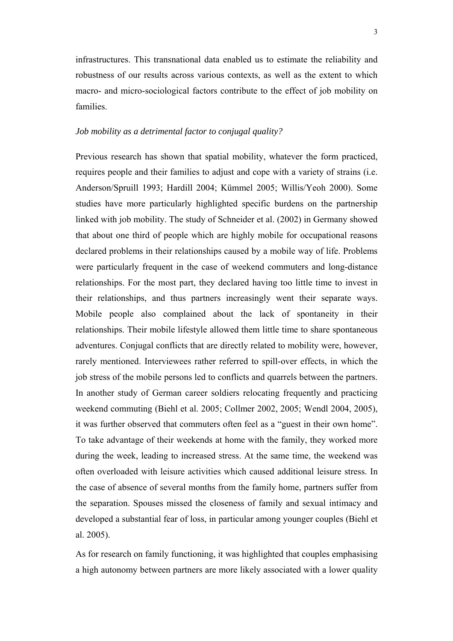infrastructures. This transnational data enabled us to estimate the reliability and robustness of our results across various contexts, as well as the extent to which macro- and micro-sociological factors contribute to the effect of job mobility on families.

# *Job mobility as a detrimental factor to conjugal quality?*

Previous research has shown that spatial mobility, whatever the form practiced, requires people and their families to adjust and cope with a variety of strains (i.e. Anderson/Spruill 1993; Hardill 2004; Kümmel 2005; Willis/Yeoh 2000). Some studies have more particularly highlighted specific burdens on the partnership linked with job mobility. The study of Schneider et al. (2002) in Germany showed that about one third of people which are highly mobile for occupational reasons declared problems in their relationships caused by a mobile way of life. Problems were particularly frequent in the case of weekend commuters and long-distance relationships. For the most part, they declared having too little time to invest in their relationships, and thus partners increasingly went their separate ways. Mobile people also complained about the lack of spontaneity in their relationships. Their mobile lifestyle allowed them little time to share spontaneous adventures. Conjugal conflicts that are directly related to mobility were, however, rarely mentioned. Interviewees rather referred to spill-over effects, in which the job stress of the mobile persons led to conflicts and quarrels between the partners. In another study of German career soldiers relocating frequently and practicing weekend commuting (Biehl et al. 2005; Collmer 2002, 2005; Wendl 2004, 2005), it was further observed that commuters often feel as a "guest in their own home". To take advantage of their weekends at home with the family, they worked more during the week, leading to increased stress. At the same time, the weekend was often overloaded with leisure activities which caused additional leisure stress. In the case of absence of several months from the family home, partners suffer from the separation. Spouses missed the closeness of family and sexual intimacy and developed a substantial fear of loss, in particular among younger couples (Biehl et al. 2005).

As for research on family functioning, it was highlighted that couples emphasising a high autonomy between partners are more likely associated with a lower quality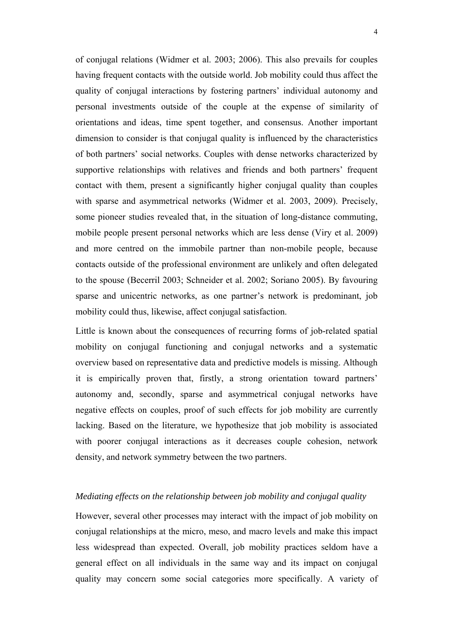of conjugal relations (Widmer et al. 2003; 2006). This also prevails for couples having frequent contacts with the outside world. Job mobility could thus affect the quality of conjugal interactions by fostering partners' individual autonomy and personal investments outside of the couple at the expense of similarity of orientations and ideas, time spent together, and consensus. Another important dimension to consider is that conjugal quality is influenced by the characteristics of both partners' social networks. Couples with dense networks characterized by supportive relationships with relatives and friends and both partners' frequent contact with them, present a significantly higher conjugal quality than couples with sparse and asymmetrical networks (Widmer et al. 2003, 2009). Precisely, some pioneer studies revealed that, in the situation of long-distance commuting, mobile people present personal networks which are less dense (Viry et al. 2009) and more centred on the immobile partner than non-mobile people, because contacts outside of the professional environment are unlikely and often delegated to the spouse (Becerril 2003; Schneider et al. 2002; Soriano 2005). By favouring sparse and unicentric networks, as one partner's network is predominant, job mobility could thus, likewise, affect conjugal satisfaction.

Little is known about the consequences of recurring forms of job-related spatial mobility on conjugal functioning and conjugal networks and a systematic overview based on representative data and predictive models is missing. Although it is empirically proven that, firstly, a strong orientation toward partners' autonomy and, secondly, sparse and asymmetrical conjugal networks have negative effects on couples, proof of such effects for job mobility are currently lacking. Based on the literature, we hypothesize that job mobility is associated with poorer conjugal interactions as it decreases couple cohesion, network density, and network symmetry between the two partners.

#### *Mediating effects on the relationship between job mobility and conjugal quality*

However, several other processes may interact with the impact of job mobility on conjugal relationships at the micro, meso, and macro levels and make this impact less widespread than expected. Overall, job mobility practices seldom have a general effect on all individuals in the same way and its impact on conjugal quality may concern some social categories more specifically. A variety of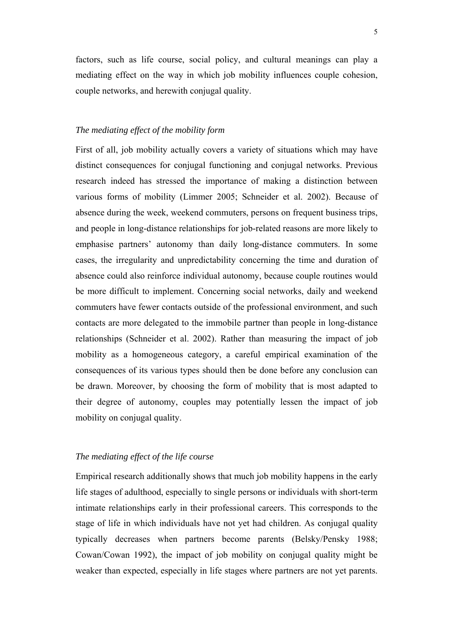factors, such as life course, social policy, and cultural meanings can play a mediating effect on the way in which job mobility influences couple cohesion, couple networks, and herewith conjugal quality.

#### *The mediating effect of the mobility form*

First of all, job mobility actually covers a variety of situations which may have distinct consequences for conjugal functioning and conjugal networks. Previous research indeed has stressed the importance of making a distinction between various forms of mobility (Limmer 2005; Schneider et al. 2002). Because of absence during the week, weekend commuters, persons on frequent business trips, and people in long-distance relationships for job-related reasons are more likely to emphasise partners' autonomy than daily long-distance commuters. In some cases, the irregularity and unpredictability concerning the time and duration of absence could also reinforce individual autonomy, because couple routines would be more difficult to implement. Concerning social networks, daily and weekend commuters have fewer contacts outside of the professional environment, and such contacts are more delegated to the immobile partner than people in long-distance relationships (Schneider et al. 2002). Rather than measuring the impact of job mobility as a homogeneous category, a careful empirical examination of the consequences of its various types should then be done before any conclusion can be drawn. Moreover, by choosing the form of mobility that is most adapted to their degree of autonomy, couples may potentially lessen the impact of job mobility on conjugal quality.

#### *The mediating effect of the life course*

Empirical research additionally shows that much job mobility happens in the early life stages of adulthood, especially to single persons or individuals with short-term intimate relationships early in their professional careers. This corresponds to the stage of life in which individuals have not yet had children. As conjugal quality typically decreases when partners become parents (Belsky/Pensky 1988; Cowan/Cowan 1992), the impact of job mobility on conjugal quality might be weaker than expected, especially in life stages where partners are not yet parents.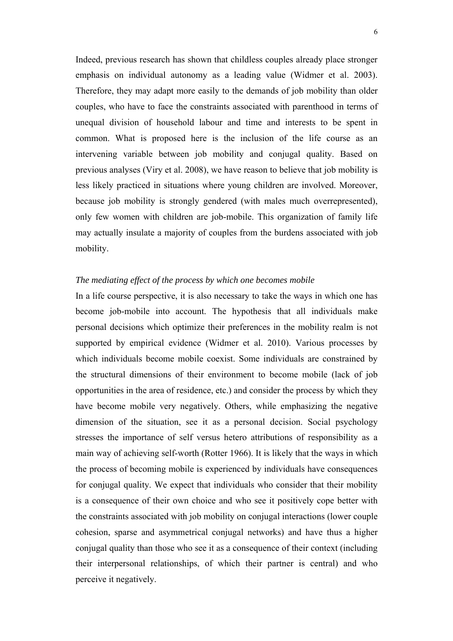Indeed, previous research has shown that childless couples already place stronger emphasis on individual autonomy as a leading value (Widmer et al. 2003). Therefore, they may adapt more easily to the demands of job mobility than older couples, who have to face the constraints associated with parenthood in terms of unequal division of household labour and time and interests to be spent in common. What is proposed here is the inclusion of the life course as an intervening variable between job mobility and conjugal quality. Based on previous analyses (Viry et al. 2008), we have reason to believe that job mobility is less likely practiced in situations where young children are involved. Moreover, because job mobility is strongly gendered (with males much overrepresented), only few women with children are job-mobile. This organization of family life may actually insulate a majority of couples from the burdens associated with job mobility.

### *The mediating effect of the process by which one becomes mobile*

In a life course perspective, it is also necessary to take the ways in which one has become job-mobile into account. The hypothesis that all individuals make personal decisions which optimize their preferences in the mobility realm is not supported by empirical evidence (Widmer et al. 2010). Various processes by which individuals become mobile coexist. Some individuals are constrained by the structural dimensions of their environment to become mobile (lack of job opportunities in the area of residence, etc.) and consider the process by which they have become mobile very negatively. Others, while emphasizing the negative dimension of the situation, see it as a personal decision. Social psychology stresses the importance of self versus hetero attributions of responsibility as a main way of achieving self-worth (Rotter 1966). It is likely that the ways in which the process of becoming mobile is experienced by individuals have consequences for conjugal quality. We expect that individuals who consider that their mobility is a consequence of their own choice and who see it positively cope better with the constraints associated with job mobility on conjugal interactions (lower couple cohesion, sparse and asymmetrical conjugal networks) and have thus a higher conjugal quality than those who see it as a consequence of their context (including their interpersonal relationships, of which their partner is central) and who perceive it negatively.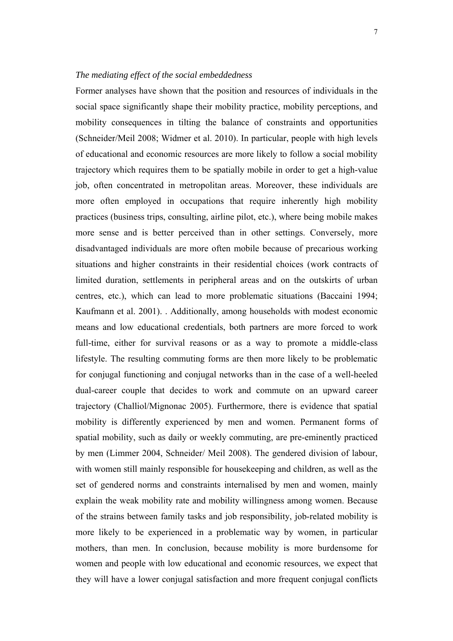### *The mediating effect of the social embeddedness*

Former analyses have shown that the position and resources of individuals in the social space significantly shape their mobility practice, mobility perceptions, and mobility consequences in tilting the balance of constraints and opportunities (Schneider/Meil 2008; Widmer et al. 2010). In particular, people with high levels of educational and economic resources are more likely to follow a social mobility trajectory which requires them to be spatially mobile in order to get a high-value job, often concentrated in metropolitan areas. Moreover, these individuals are more often employed in occupations that require inherently high mobility practices (business trips, consulting, airline pilot, etc.), where being mobile makes more sense and is better perceived than in other settings. Conversely, more disadvantaged individuals are more often mobile because of precarious working situations and higher constraints in their residential choices (work contracts of limited duration, settlements in peripheral areas and on the outskirts of urban centres, etc.), which can lead to more problematic situations (Baccaini 1994; Kaufmann et al. 2001). . Additionally, among households with modest economic means and low educational credentials, both partners are more forced to work full-time, either for survival reasons or as a way to promote a middle-class lifestyle. The resulting commuting forms are then more likely to be problematic for conjugal functioning and conjugal networks than in the case of a well-heeled dual-career couple that decides to work and commute on an upward career trajectory (Challiol/Mignonac 2005). Furthermore, there is evidence that spatial mobility is differently experienced by men and women. Permanent forms of spatial mobility, such as daily or weekly commuting, are pre-eminently practiced by men (Limmer 2004, Schneider/ Meil 2008). The gendered division of labour, with women still mainly responsible for housekeeping and children, as well as the set of gendered norms and constraints internalised by men and women, mainly explain the weak mobility rate and mobility willingness among women. Because of the strains between family tasks and job responsibility, job-related mobility is more likely to be experienced in a problematic way by women, in particular mothers, than men. In conclusion, because mobility is more burdensome for women and people with low educational and economic resources, we expect that they will have a lower conjugal satisfaction and more frequent conjugal conflicts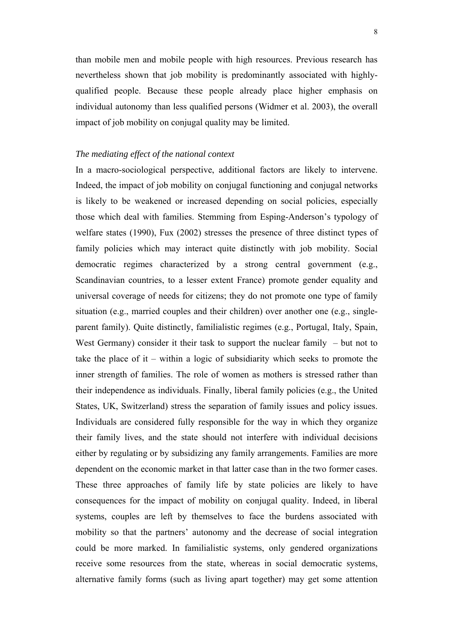than mobile men and mobile people with high resources. Previous research has nevertheless shown that job mobility is predominantly associated with highlyqualified people. Because these people already place higher emphasis on individual autonomy than less qualified persons (Widmer et al. 2003), the overall impact of job mobility on conjugal quality may be limited.

#### *The mediating effect of the national context*

In a macro-sociological perspective, additional factors are likely to intervene. Indeed, the impact of job mobility on conjugal functioning and conjugal networks is likely to be weakened or increased depending on social policies, especially those which deal with families. Stemming from Esping-Anderson's typology of welfare states (1990), Fux (2002) stresses the presence of three distinct types of family policies which may interact quite distinctly with job mobility. Social democratic regimes characterized by a strong central government (e.g., Scandinavian countries, to a lesser extent France) promote gender equality and universal coverage of needs for citizens; they do not promote one type of family situation (e.g., married couples and their children) over another one (e.g., singleparent family). Quite distinctly, familialistic regimes (e.g., Portugal, Italy, Spain, West Germany) consider it their task to support the nuclear family – but not to take the place of it – within a logic of subsidiarity which seeks to promote the inner strength of families. The role of women as mothers is stressed rather than their independence as individuals. Finally, liberal family policies (e.g., the United States, UK, Switzerland) stress the separation of family issues and policy issues. Individuals are considered fully responsible for the way in which they organize their family lives, and the state should not interfere with individual decisions either by regulating or by subsidizing any family arrangements. Families are more dependent on the economic market in that latter case than in the two former cases. These three approaches of family life by state policies are likely to have consequences for the impact of mobility on conjugal quality. Indeed, in liberal systems, couples are left by themselves to face the burdens associated with mobility so that the partners' autonomy and the decrease of social integration could be more marked. In familialistic systems, only gendered organizations receive some resources from the state, whereas in social democratic systems, alternative family forms (such as living apart together) may get some attention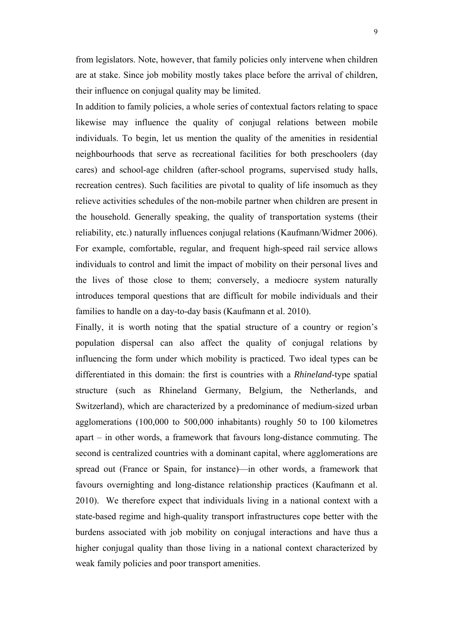from legislators. Note, however, that family policies only intervene when children are at stake. Since job mobility mostly takes place before the arrival of children, their influence on conjugal quality may be limited.

In addition to family policies, a whole series of contextual factors relating to space likewise may influence the quality of conjugal relations between mobile individuals. To begin, let us mention the quality of the amenities in residential neighbourhoods that serve as recreational facilities for both preschoolers (day cares) and school-age children (after-school programs, supervised study halls, recreation centres). Such facilities are pivotal to quality of life insomuch as they relieve activities schedules of the non-mobile partner when children are present in the household. Generally speaking, the quality of transportation systems (their reliability, etc.) naturally influences conjugal relations (Kaufmann/Widmer 2006). For example, comfortable, regular, and frequent high-speed rail service allows individuals to control and limit the impact of mobility on their personal lives and the lives of those close to them; conversely, a mediocre system naturally introduces temporal questions that are difficult for mobile individuals and their families to handle on a day-to-day basis (Kaufmann et al. 2010).

Finally, it is worth noting that the spatial structure of a country or region's population dispersal can also affect the quality of conjugal relations by influencing the form under which mobility is practiced. Two ideal types can be differentiated in this domain: the first is countries with a *Rhineland*-type spatial structure (such as Rhineland Germany, Belgium, the Netherlands, and Switzerland), which are characterized by a predominance of medium-sized urban agglomerations (100,000 to 500,000 inhabitants) roughly 50 to 100 kilometres apart – in other words, a framework that favours long-distance commuting. The second is centralized countries with a dominant capital, where agglomerations are spread out (France or Spain, for instance)—in other words, a framework that favours overnighting and long-distance relationship practices (Kaufmann et al. 2010). We therefore expect that individuals living in a national context with a state-based regime and high-quality transport infrastructures cope better with the burdens associated with job mobility on conjugal interactions and have thus a higher conjugal quality than those living in a national context characterized by weak family policies and poor transport amenities.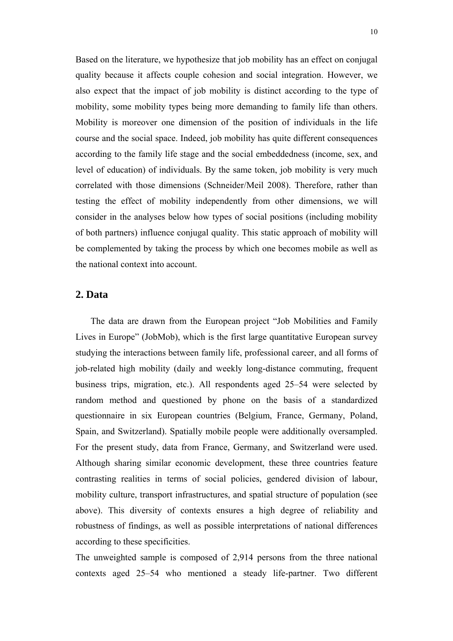Based on the literature, we hypothesize that job mobility has an effect on conjugal quality because it affects couple cohesion and social integration. However, we also expect that the impact of job mobility is distinct according to the type of mobility, some mobility types being more demanding to family life than others. Mobility is moreover one dimension of the position of individuals in the life course and the social space. Indeed, job mobility has quite different consequences according to the family life stage and the social embeddedness (income, sex, and level of education) of individuals. By the same token, job mobility is very much correlated with those dimensions (Schneider/Meil 2008). Therefore, rather than testing the effect of mobility independently from other dimensions, we will consider in the analyses below how types of social positions (including mobility of both partners) influence conjugal quality. This static approach of mobility will be complemented by taking the process by which one becomes mobile as well as the national context into account.

# **2. Data**

The data are drawn from the European project "Job Mobilities and Family Lives in Europe" (JobMob), which is the first large quantitative European survey studying the interactions between family life, professional career, and all forms of job-related high mobility (daily and weekly long-distance commuting, frequent business trips, migration, etc.). All respondents aged 25–54 were selected by random method and questioned by phone on the basis of a standardized questionnaire in six European countries (Belgium, France, Germany, Poland, Spain, and Switzerland). Spatially mobile people were additionally oversampled. For the present study, data from France, Germany, and Switzerland were used. Although sharing similar economic development, these three countries feature contrasting realities in terms of social policies, gendered division of labour, mobility culture, transport infrastructures, and spatial structure of population (see above). This diversity of contexts ensures a high degree of reliability and robustness of findings, as well as possible interpretations of national differences according to these specificities.

The unweighted sample is composed of 2,914 persons from the three national contexts aged 25–54 who mentioned a steady life-partner. Two different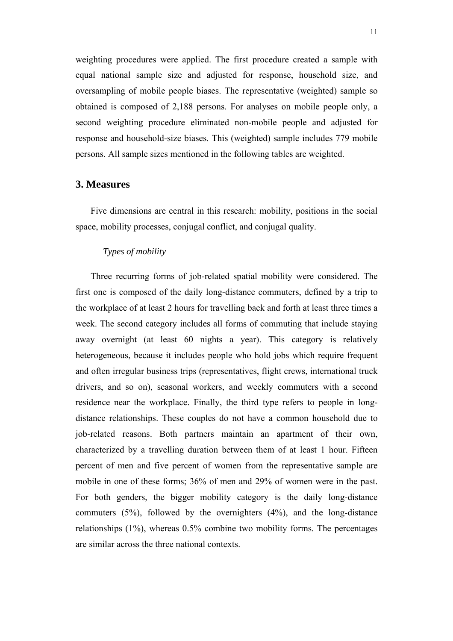weighting procedures were applied. The first procedure created a sample with equal national sample size and adjusted for response, household size, and oversampling of mobile people biases. The representative (weighted) sample so obtained is composed of 2,188 persons. For analyses on mobile people only, a second weighting procedure eliminated non-mobile people and adjusted for response and household-size biases. This (weighted) sample includes 779 mobile persons. All sample sizes mentioned in the following tables are weighted.

### **3. Measures**

Five dimensions are central in this research: mobility, positions in the social space, mobility processes, conjugal conflict, and conjugal quality.

#### *Types of mobility*

Three recurring forms of job-related spatial mobility were considered. The first one is composed of the daily long-distance commuters, defined by a trip to the workplace of at least 2 hours for travelling back and forth at least three times a week. The second category includes all forms of commuting that include staying away overnight (at least 60 nights a year). This category is relatively heterogeneous, because it includes people who hold jobs which require frequent and often irregular business trips (representatives, flight crews, international truck drivers, and so on), seasonal workers, and weekly commuters with a second residence near the workplace. Finally, the third type refers to people in longdistance relationships. These couples do not have a common household due to job-related reasons. Both partners maintain an apartment of their own, characterized by a travelling duration between them of at least 1 hour. Fifteen percent of men and five percent of women from the representative sample are mobile in one of these forms; 36% of men and 29% of women were in the past. For both genders, the bigger mobility category is the daily long-distance commuters (5%), followed by the overnighters (4%), and the long-distance relationships (1%), whereas 0.5% combine two mobility forms. The percentages are similar across the three national contexts.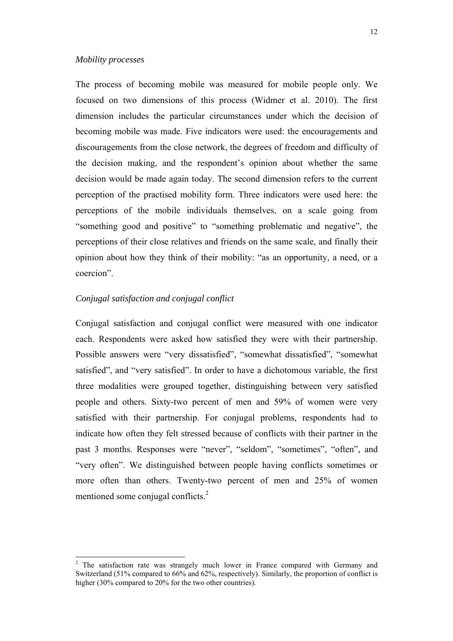#### *Mobility processes*

The process of becoming mobile was measured for mobile people only. We focused on two dimensions of this process (Widmer et al. 2010). The first dimension includes the particular circumstances under which the decision of becoming mobile was made. Five indicators were used: the encouragements and discouragements from the close network, the degrees of freedom and difficulty of the decision making, and the respondent's opinion about whether the same decision would be made again today. The second dimension refers to the current perception of the practised mobility form. Three indicators were used here: the perceptions of the mobile individuals themselves, on a scale going from "something good and positive" to "something problematic and negative", the perceptions of their close relatives and friends on the same scale, and finally their opinion about how they think of their mobility: "as an opportunity, a need, or a coercion".

#### *Conjugal satisfaction and conjugal conflict*

Conjugal satisfaction and conjugal conflict were measured with one indicator each. Respondents were asked how satisfied they were with their partnership. Possible answers were "very dissatisfied", "somewhat dissatisfied", "somewhat satisfied", and "very satisfied". In order to have a dichotomous variable, the first three modalities were grouped together, distinguishing between very satisfied people and others. Sixty-two percent of men and 59% of women were very satisfied with their partnership. For conjugal problems, respondents had to indicate how often they felt stressed because of conflicts with their partner in the past 3 months. Responses were "never", "seldom", "sometimes", "often", and "very often". We distinguished between people having conflicts sometimes or more often than others. Twenty-two percent of men and 25% of women mentioned some conjugal conflicts.<sup>2</sup>

<sup>&</sup>lt;sup>2</sup> The satisfaction rate was strangely much lower in France compared with Germany and Switzerland (51% compared to 66% and 62%, respectively). Similarly, the proportion of conflict is higher (30% compared to 20% for the two other countries).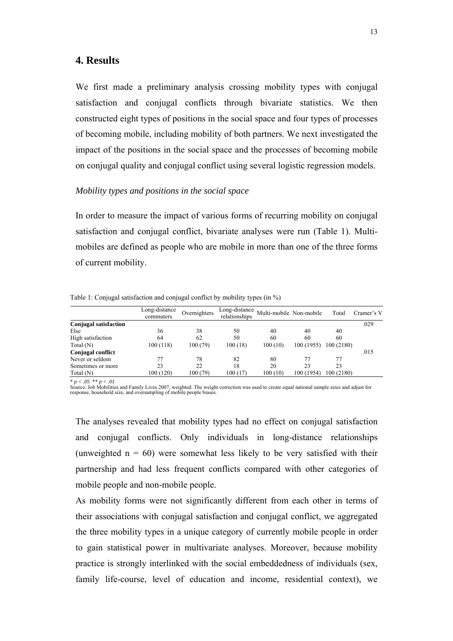#### **4. Results**

We first made a preliminary analysis crossing mobility types with conjugal satisfaction and conjugal conflicts through bivariate statistics. We then constructed eight types of positions in the social space and four types of processes of becoming mobile, including mobility of both partners. We next investigated the impact of the positions in the social space and the processes of becoming mobile on conjugal quality and conjugal conflict using several logistic regression models.

### *Mobility types and positions in the social space*

In order to measure the impact of various forms of recurring mobility on conjugal satisfaction and conjugal conflict, bivariate analyses were run (Table 1). Multimobiles are defined as people who are mobile in more than one of the three forms of current mobility.

|  | Table 1: Conjugal satisfaction and conjugal conflict by mobility types (in %) |  |  |
|--|-------------------------------------------------------------------------------|--|--|
|  |                                                                               |  |  |

|                              | Long-distance<br>commuters | Overnighters | Long-distance<br>relationships | Multi-mobile Non-mobile |            | Total      | Cramer's V |
|------------------------------|----------------------------|--------------|--------------------------------|-------------------------|------------|------------|------------|
| <b>Conjugal satisfaction</b> |                            |              |                                |                         |            |            | .029       |
| Else                         | 36                         | 38           | 50                             | 40                      | 40         | 40         |            |
| High satisfaction            | 64                         | 62           | 50                             | 60                      | 60         | 60         |            |
| Total $(N)$                  | 100(118)                   | 100(79)      | 100(18)                        | 100(10)                 | 100 (1955) | 100 (2180) |            |
| Conjugal conflict            |                            |              |                                |                         |            |            | .015       |
| Never or seldom              |                            | 78           | 82                             | 80                      |            | 77         |            |
| Sometimes or more            | 23                         | 22           | 18                             | 20                      | 23         | 23         |            |
| Total (N)                    | 100 (120)                  | 100 (79)     | 100(17)                        | 100(10)                 | 100 (1954) | 100 (2180) |            |

\* *p < .05* \*\* *p < .01*  Source: Job Mobilities and Family Lives 2007, weighted. The weight correction was used to create equal national sample sizes and adjust for response, household size, and oversampling of mobile people biases.

The analyses revealed that mobility types had no effect on conjugal satisfaction and conjugal conflicts. Only individuals in long-distance relationships (unweighted  $n = 60$ ) were somewhat less likely to be very satisfied with their partnership and had less frequent conflicts compared with other categories of mobile people and non-mobile people.

As mobility forms were not significantly different from each other in terms of their associations with conjugal satisfaction and conjugal conflict, we aggregated the three mobility types in a unique category of currently mobile people in order to gain statistical power in multivariate analyses. Moreover, because mobility practice is strongly interlinked with the social embeddedness of individuals (sex, family life-course, level of education and income, residential context), we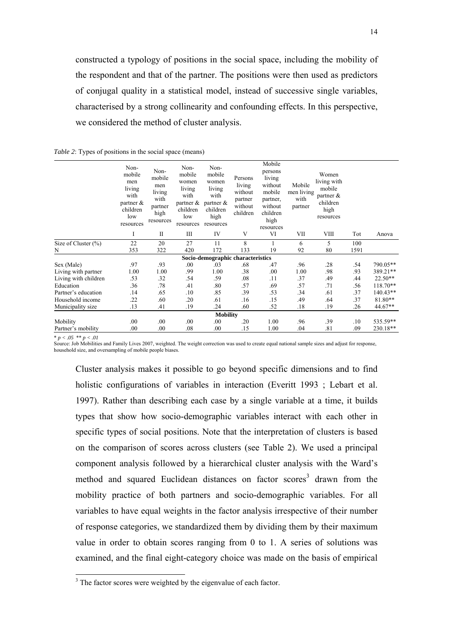constructed a typology of positions in the social space, including the mobility of the respondent and that of the partner. The positions were then used as predictors of conjugal quality in a statistical model, instead of successive single variables, characterised by a strong collinearity and confounding effects. In this perspective, we considered the method of cluster analysis.

|                         | Non-<br>mobile<br>men<br>living<br>with<br>partner $\&$<br>children<br>low<br>resources | Non-<br>mobile<br>men<br>living<br>with<br>partner<br>high<br>resources | Non-<br>mobile<br>women<br>living<br>with<br>partner $\&$<br>children<br>low<br>resources | Non-<br>mobile<br>women<br>living<br>with<br>partner $\&$<br>children<br>high<br>resources | Persons<br>living<br>without<br>partner<br>without<br>children | Mobile<br>persons<br>living<br>without<br>mobile<br>partner.<br>without<br>children<br>high<br>resources | Mobile<br>men living<br>with<br>partner | Women<br>living with<br>mobile<br>partner $\&$<br>children<br>high<br>resources |      |            |
|-------------------------|-----------------------------------------------------------------------------------------|-------------------------------------------------------------------------|-------------------------------------------------------------------------------------------|--------------------------------------------------------------------------------------------|----------------------------------------------------------------|----------------------------------------------------------------------------------------------------------|-----------------------------------------|---------------------------------------------------------------------------------|------|------------|
|                         | I                                                                                       | $\mathbf{I}$                                                            | Ш                                                                                         | IV                                                                                         | V                                                              | VI                                                                                                       | VII                                     | VIII                                                                            | Tot  | Anova      |
| Size of Cluster $(\% )$ | 22                                                                                      | 20                                                                      | 27                                                                                        | 11                                                                                         | 8                                                              |                                                                                                          | 6                                       | 5                                                                               | 100  |            |
| N                       | 353                                                                                     | 322                                                                     | 420                                                                                       | 172                                                                                        | 133                                                            | 19                                                                                                       | 92                                      | 80                                                                              | 1591 |            |
|                         |                                                                                         |                                                                         |                                                                                           | Socio-demographic characteristics                                                          |                                                                |                                                                                                          |                                         |                                                                                 |      |            |
| Sex (Male)              | .97                                                                                     | .93                                                                     | .00.                                                                                      | .03                                                                                        | .68                                                            | .47                                                                                                      | .96                                     | .28                                                                             | .54  | 790.05**   |
| Living with partner     | 1.00                                                                                    | 1.00                                                                    | .99                                                                                       | 1.00                                                                                       | .38                                                            | .00                                                                                                      | 1.00                                    | .98                                                                             | .93  | 389.21**   |
| Living with children    | .53                                                                                     | .32                                                                     | .54                                                                                       | .59                                                                                        | .08                                                            | .11                                                                                                      | .37                                     | .49                                                                             | .44  | $22.50**$  |
| Education               | .36                                                                                     | .78                                                                     | .41                                                                                       | .80                                                                                        | .57                                                            | .69                                                                                                      | .57                                     | .71                                                                             | .56  | $118.70**$ |
| Partner's education     | .14                                                                                     | .65                                                                     | .10                                                                                       | .85                                                                                        | .39                                                            | .53                                                                                                      | .34                                     | .61                                                                             | .37  | $140.43**$ |
| Household income        | .22                                                                                     | .60                                                                     | .20                                                                                       | .61                                                                                        | .16                                                            | .15                                                                                                      | .49                                     | .64                                                                             | .37  | 81.80**    |
| Municipality size       | .13                                                                                     | .41                                                                     | .19                                                                                       | .24                                                                                        | .60                                                            | .52                                                                                                      | .18                                     | .19                                                                             | .26  | 44.67**    |
|                         |                                                                                         |                                                                         |                                                                                           | <b>Mobility</b>                                                                            |                                                                |                                                                                                          |                                         |                                                                                 |      |            |
| Mobility                | .00.                                                                                    | .00                                                                     | .00.                                                                                      | .00                                                                                        | .20                                                            | 1.00                                                                                                     | .96                                     | .39                                                                             | .10  | 535.59**   |
| Partner's mobility      | .00                                                                                     | $_{.00}$                                                                | .08                                                                                       | .00                                                                                        | .15                                                            | 1.00                                                                                                     | .04                                     | .81                                                                             | .09  | 230.18**   |

*Table 2*: Types of positions in the social space (means)

 $* p < .05 ** p < .01$ 

Source: Job Mobilities and Family Lives 2007, weighted. The weight correction was used to create equal national sample sizes and adjust for response, household size, and oversampling of mobile people biases.

Cluster analysis makes it possible to go beyond specific dimensions and to find holistic configurations of variables in interaction (Everitt 1993 ; Lebart et al. 1997). Rather than describing each case by a single variable at a time, it builds types that show how socio-demographic variables interact with each other in specific types of social positions. Note that the interpretation of clusters is based on the comparison of scores across clusters (see Table 2). We used a principal component analysis followed by a hierarchical cluster analysis with the Ward's method and squared Euclidean distances on factor scores<sup>3</sup> drawn from the mobility practice of both partners and socio-demographic variables. For all variables to have equal weights in the factor analysis irrespective of their number of response categories, we standardized them by dividing them by their maximum value in order to obtain scores ranging from 0 to 1. A series of solutions was examined, and the final eight-category choice was made on the basis of empirical

<sup>&</sup>lt;sup>3</sup> The factor scores were weighted by the eigenvalue of each factor.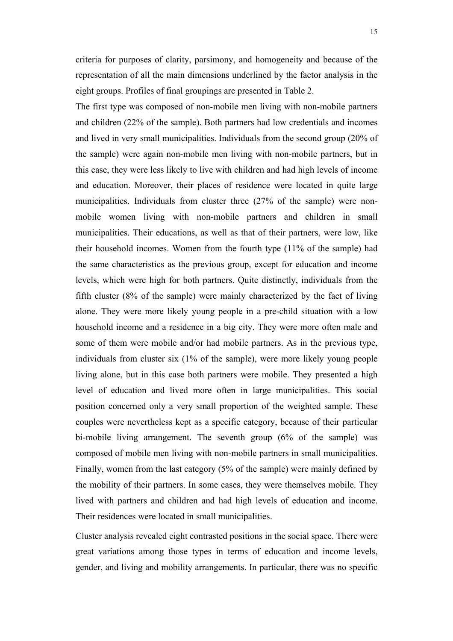criteria for purposes of clarity, parsimony, and homogeneity and because of the representation of all the main dimensions underlined by the factor analysis in the eight groups. Profiles of final groupings are presented in Table 2.

The first type was composed of non-mobile men living with non-mobile partners and children (22% of the sample). Both partners had low credentials and incomes and lived in very small municipalities. Individuals from the second group (20% of the sample) were again non-mobile men living with non-mobile partners, but in this case, they were less likely to live with children and had high levels of income and education. Moreover, their places of residence were located in quite large municipalities. Individuals from cluster three (27% of the sample) were nonmobile women living with non-mobile partners and children in small municipalities. Their educations, as well as that of their partners, were low, like their household incomes. Women from the fourth type (11% of the sample) had the same characteristics as the previous group, except for education and income levels, which were high for both partners. Quite distinctly, individuals from the fifth cluster (8% of the sample) were mainly characterized by the fact of living alone. They were more likely young people in a pre-child situation with a low household income and a residence in a big city. They were more often male and some of them were mobile and/or had mobile partners. As in the previous type, individuals from cluster six (1% of the sample), were more likely young people living alone, but in this case both partners were mobile. They presented a high level of education and lived more often in large municipalities. This social position concerned only a very small proportion of the weighted sample. These couples were nevertheless kept as a specific category, because of their particular bi-mobile living arrangement. The seventh group (6% of the sample) was composed of mobile men living with non-mobile partners in small municipalities. Finally, women from the last category (5% of the sample) were mainly defined by the mobility of their partners. In some cases, they were themselves mobile. They lived with partners and children and had high levels of education and income. Their residences were located in small municipalities.

Cluster analysis revealed eight contrasted positions in the social space. There were great variations among those types in terms of education and income levels, gender, and living and mobility arrangements. In particular, there was no specific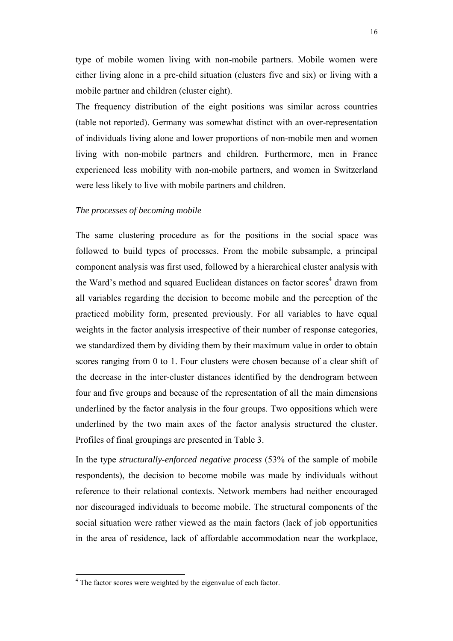type of mobile women living with non-mobile partners. Mobile women were either living alone in a pre-child situation (clusters five and six) or living with a mobile partner and children (cluster eight).

The frequency distribution of the eight positions was similar across countries (table not reported). Germany was somewhat distinct with an over-representation of individuals living alone and lower proportions of non-mobile men and women living with non-mobile partners and children. Furthermore, men in France experienced less mobility with non-mobile partners, and women in Switzerland were less likely to live with mobile partners and children.

#### *The processes of becoming mobile*

The same clustering procedure as for the positions in the social space was followed to build types of processes. From the mobile subsample, a principal component analysis was first used, followed by a hierarchical cluster analysis with the Ward's method and squared Euclidean distances on factor scores<sup>4</sup> drawn from all variables regarding the decision to become mobile and the perception of the practiced mobility form, presented previously. For all variables to have equal weights in the factor analysis irrespective of their number of response categories, we standardized them by dividing them by their maximum value in order to obtain scores ranging from 0 to 1. Four clusters were chosen because of a clear shift of the decrease in the inter-cluster distances identified by the dendrogram between four and five groups and because of the representation of all the main dimensions underlined by the factor analysis in the four groups. Two oppositions which were underlined by the two main axes of the factor analysis structured the cluster. Profiles of final groupings are presented in Table 3.

In the type *structurally-enforced negative process* (53% of the sample of mobile respondents), the decision to become mobile was made by individuals without reference to their relational contexts. Network members had neither encouraged nor discouraged individuals to become mobile. The structural components of the social situation were rather viewed as the main factors (lack of job opportunities in the area of residence, lack of affordable accommodation near the workplace,

 4 The factor scores were weighted by the eigenvalue of each factor.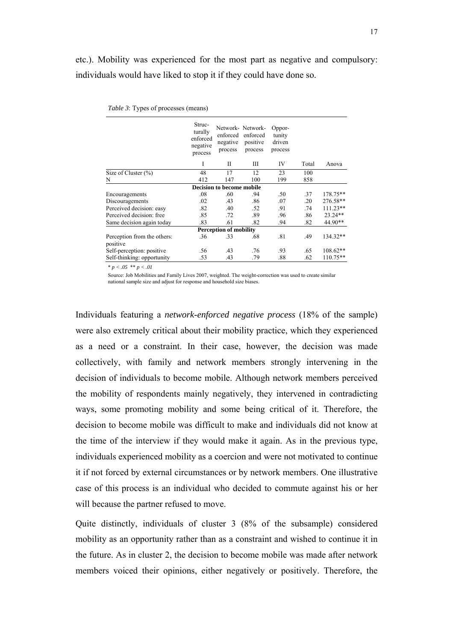etc.). Mobility was experienced for the most part as negative and compulsory: individuals would have liked to stop it if they could have done so.

|                                         | Struc-<br>turally<br>enforced<br>negative<br>process | enforced<br>negative<br>process | Network- Network-<br>enforced<br>positive<br>process | Oppor-<br>tunity<br>driven<br>process |       |            |  |  |  |  |
|-----------------------------------------|------------------------------------------------------|---------------------------------|------------------------------------------------------|---------------------------------------|-------|------------|--|--|--|--|
|                                         | I                                                    | П                               | Ш                                                    | IV                                    | Total | Anova      |  |  |  |  |
| Size of Cluster $(\% )$                 | 48                                                   | 17                              | 12                                                   | 23                                    | 100   |            |  |  |  |  |
| N                                       | 412                                                  | 147                             | 100                                                  | 199                                   | 858   |            |  |  |  |  |
|                                         |                                                      | Decision to become mobile       |                                                      |                                       |       |            |  |  |  |  |
| Encouragements                          | .08                                                  | .60                             | .94                                                  | .50                                   | .37   | 178.75**   |  |  |  |  |
| Discouragements                         | .02                                                  | .43                             | .86                                                  | .07                                   | .20   | 276.58**   |  |  |  |  |
| Perceived decision: easy                | .82                                                  | .40                             | .52                                                  | .91                                   | .74   | $111.23**$ |  |  |  |  |
| Perceived decision: free                | .85                                                  | .72                             | .89                                                  | .96                                   | .86   | 23.24**    |  |  |  |  |
| Same decision again today               | .83                                                  | .61                             | .82                                                  | .94                                   | .82   | 44.90**    |  |  |  |  |
| <b>Perception of mobility</b>           |                                                      |                                 |                                                      |                                       |       |            |  |  |  |  |
| Perception from the others:<br>positive | .36                                                  | .33                             | .68                                                  | .81                                   | .49   | 134.32**   |  |  |  |  |
| Self-perception: positive               | .56                                                  | .43                             | .76                                                  | .93                                   | .65   | 108.62**   |  |  |  |  |
| Self-thinking: opportunity              | .53                                                  | .43                             | .79                                                  | .88                                   | .62   | 110.75**   |  |  |  |  |

|  | Table 3: Types of processes (means) |  |
|--|-------------------------------------|--|
|  |                                     |  |

\* *p < .05* \*\* *p < .01* 

Source: Job Mobilities and Family Lives 2007, weighted. The weight-correction was used to create similar national sample size and adjust for response and household size biases.

Individuals featuring a *network-enforced negative process* (18% of the sample) were also extremely critical about their mobility practice, which they experienced as a need or a constraint. In their case, however, the decision was made collectively, with family and network members strongly intervening in the decision of individuals to become mobile. Although network members perceived the mobility of respondents mainly negatively, they intervened in contradicting ways, some promoting mobility and some being critical of it. Therefore, the decision to become mobile was difficult to make and individuals did not know at the time of the interview if they would make it again. As in the previous type, individuals experienced mobility as a coercion and were not motivated to continue it if not forced by external circumstances or by network members. One illustrative case of this process is an individual who decided to commute against his or her will because the partner refused to move.

Quite distinctly, individuals of cluster 3 (8% of the subsample) considered mobility as an opportunity rather than as a constraint and wished to continue it in the future. As in cluster 2, the decision to become mobile was made after network members voiced their opinions, either negatively or positively. Therefore, the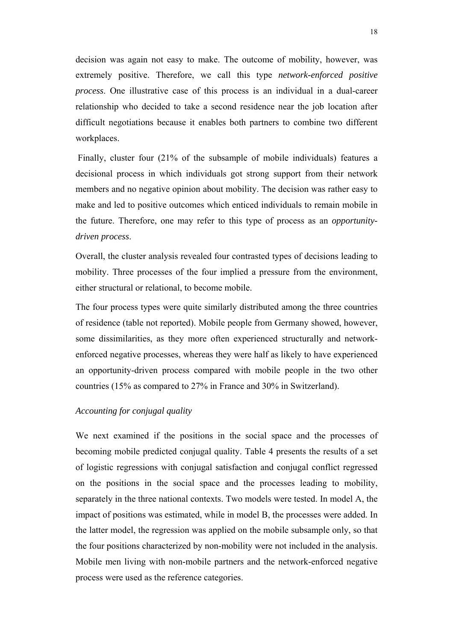decision was again not easy to make. The outcome of mobility, however, was extremely positive. Therefore, we call this type *network-enforced positive process*. One illustrative case of this process is an individual in a dual-career relationship who decided to take a second residence near the job location after difficult negotiations because it enables both partners to combine two different workplaces.

 Finally, cluster four (21% of the subsample of mobile individuals) features a decisional process in which individuals got strong support from their network members and no negative opinion about mobility. The decision was rather easy to make and led to positive outcomes which enticed individuals to remain mobile in the future. Therefore, one may refer to this type of process as an *opportunitydriven process*.

Overall, the cluster analysis revealed four contrasted types of decisions leading to mobility. Three processes of the four implied a pressure from the environment, either structural or relational, to become mobile.

The four process types were quite similarly distributed among the three countries of residence (table not reported). Mobile people from Germany showed, however, some dissimilarities, as they more often experienced structurally and networkenforced negative processes, whereas they were half as likely to have experienced an opportunity-driven process compared with mobile people in the two other countries (15% as compared to 27% in France and 30% in Switzerland).

#### *Accounting for conjugal quality*

We next examined if the positions in the social space and the processes of becoming mobile predicted conjugal quality. Table 4 presents the results of a set of logistic regressions with conjugal satisfaction and conjugal conflict regressed on the positions in the social space and the processes leading to mobility, separately in the three national contexts. Two models were tested. In model A, the impact of positions was estimated, while in model B, the processes were added. In the latter model, the regression was applied on the mobile subsample only, so that the four positions characterized by non-mobility were not included in the analysis. Mobile men living with non-mobile partners and the network-enforced negative process were used as the reference categories.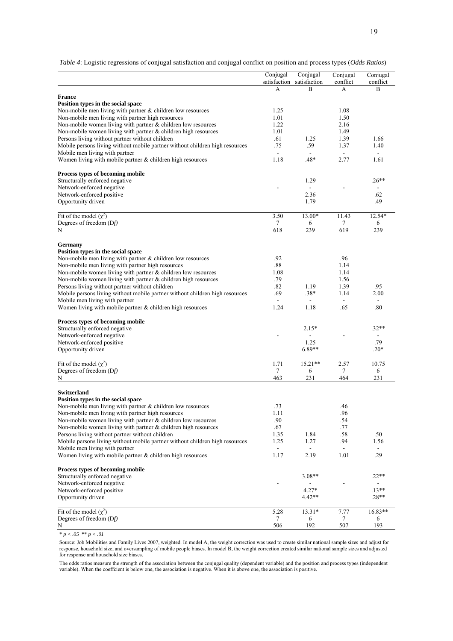*Table 4*: Logistic regressions of conjugal satisfaction and conjugal conflict on position and process types (*Odds Ratios*)

|                                                                              | Conjugal                 | Conjugal       | Conjugal       | Conjugal     |
|------------------------------------------------------------------------------|--------------------------|----------------|----------------|--------------|
|                                                                              | satisfaction             | satisfaction   | conflict       | conflict     |
|                                                                              | A                        | $\overline{B}$ | А              | B            |
| <b>France</b>                                                                |                          |                |                |              |
| Position types in the social space                                           |                          |                |                |              |
| Non-mobile men living with partner $&$ children low resources                | 1.25                     |                | 1.08           |              |
| Non-mobile men living with partner high resources                            | 1.01                     |                | 1.50           |              |
| Non-mobile women living with partner $&$ children low resources              | 1.22                     |                | 2.16           |              |
| Non-mobile women living with partner $&$ children high resources             | 1.01                     |                | 1.49           |              |
| Persons living without partner without children                              | .61                      | 1.25           | 1.39           | 1.66         |
| Mobile persons living without mobile partner without children high resources | .75                      | .59            | 1.37           | 1.40         |
| Mobile men living with partner                                               | $\blacksquare$           | $\sim$         | $\blacksquare$ | $\mathbf{r}$ |
| Women living with mobile partner & children high resources                   | 1.18                     | .48*           | 2.77           | 1.61         |
|                                                                              |                          |                |                |              |
| Process types of becoming mobile                                             |                          |                |                |              |
| Structurally enforced negative                                               |                          | 1.29           |                | $.26**$      |
| Network-enforced negative                                                    |                          |                |                |              |
| Network-enforced positive                                                    |                          | 2.36           |                | .62          |
| Opportunity driven                                                           |                          | 1.79           |                | .49          |
|                                                                              |                          |                |                |              |
| Fit of the model $(\chi^2)$                                                  | 3.50                     | 13.00*         | 11.43          | 12.54*       |
| Degrees of freedom (Df)                                                      | 7                        | 6              | $\tau$         | 6            |
| N                                                                            | 618                      | 239            | 619            | 239          |
|                                                                              |                          |                |                |              |
| Germany                                                                      |                          |                |                |              |
| Position types in the social space                                           |                          |                |                |              |
| Non-mobile men living with partner $&$ children low resources                | .92                      |                | .96            |              |
| Non-mobile men living with partner high resources                            | .88                      |                | 1.14           |              |
| Non-mobile women living with partner & children low resources                | 1.08                     |                | 1.14           |              |
| Non-mobile women living with partner $&$ children high resources             | .79                      |                | 1.56           |              |
| Persons living without partner without children                              | .82                      | 1.19           | 1.39           | .95          |
| Mobile persons living without mobile partner without children high resources | .69                      | $.38*$         | 1.14           | 2.00         |
| Mobile men living with partner                                               | $\overline{\phantom{a}}$ |                | $\mathbf{r}$   |              |
| Women living with mobile partner & children high resources                   | 1.24                     | 1.18           | .65            | .80          |
|                                                                              |                          |                |                |              |
| Process types of becoming mobile                                             |                          |                |                |              |
| Structurally enforced negative                                               |                          | $2.15*$        |                | $.32**$      |
| Network-enforced negative                                                    |                          | 1.25           |                | .79          |
| Network-enforced positive                                                    |                          | $6.89**$       |                | $.20*$       |
| Opportunity driven                                                           |                          |                |                |              |
| Fit of the model $(\chi^2)$                                                  | 1.71                     | $15.21**$      | 2.57           | 10.75        |
| Degrees of freedom (Df)                                                      | 7                        | 6              | 7              | 6            |
| N                                                                            | 463                      | 231            | 464            | 231          |
|                                                                              |                          |                |                |              |
| <b>Switzerland</b>                                                           |                          |                |                |              |
| Position types in the social space                                           |                          |                |                |              |
| Non-mobile men living with partner $&$ children low resources                | .73                      |                | .46            |              |
| Non-mobile men living with partner high resources                            | 1.11                     |                | .96            |              |
| Non-mobile women living with partner $\&$ children low resources             | .90                      |                | .54            |              |
| Non-mobile women living with partner $\&$ children high resources            | .67                      |                | .77            |              |
| Persons living without partner without children                              | 1.35                     | 1.84           | .58            | .50          |
| Mobile persons living without mobile partner without children high resources | 1.25                     | 1.27           | .94            | 1.56         |
| Mobile men living with partner                                               | $\blacksquare$           |                | $\blacksquare$ | $\sim$       |
| Women living with mobile partner $&$ children high resources                 | 1.17                     | 2.19           | 1.01           | .29          |
|                                                                              |                          |                |                |              |
| Process types of becoming mobile                                             |                          |                |                |              |
| Structurally enforced negative                                               |                          | $3.08**$       |                | $.22**$      |
| Network-enforced negative                                                    |                          |                |                |              |
| Network-enforced positive                                                    |                          | $4.27*$        |                | $.13**$      |
| Opportunity driven                                                           |                          | 4.42**         |                | $.28**$      |
|                                                                              |                          |                |                |              |
| Fit of the model $(\chi^2)$                                                  | 5.28                     | 13.31*         | 7.77           | 16.83**      |
| Degrees of freedom (Df)                                                      | 7                        | 6              | 7              | 6            |
| ${\bf N}$                                                                    | 506                      | 192            | 507            | 193          |

 $* p < .05 ** p < .01$ 

Source: Job Mobilities and Family Lives 2007, weighted. In model A, the weight correction was used to create similar national sample sizes and adjust for response, household size, and oversampling of mobile people biases. In model B, the weight correction created similar national sample sizes and adjusted for response and household size biases.

The odds ratios measure the strength of the association between the conjugal quality (dependent variable) and the position and process types (independent variable). When the coeffcient is below one, the association is negative. When it is above one, the association is positive.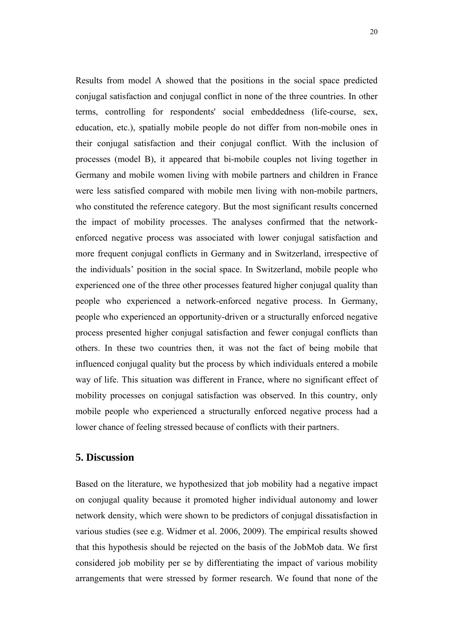Results from model A showed that the positions in the social space predicted conjugal satisfaction and conjugal conflict in none of the three countries. In other terms, controlling for respondents' social embeddedness (life-course, sex, education, etc.), spatially mobile people do not differ from non-mobile ones in their conjugal satisfaction and their conjugal conflict. With the inclusion of processes (model B), it appeared that bi-mobile couples not living together in Germany and mobile women living with mobile partners and children in France were less satisfied compared with mobile men living with non-mobile partners, who constituted the reference category. But the most significant results concerned the impact of mobility processes. The analyses confirmed that the networkenforced negative process was associated with lower conjugal satisfaction and more frequent conjugal conflicts in Germany and in Switzerland, irrespective of the individuals' position in the social space. In Switzerland, mobile people who experienced one of the three other processes featured higher conjugal quality than people who experienced a network-enforced negative process. In Germany, people who experienced an opportunity-driven or a structurally enforced negative process presented higher conjugal satisfaction and fewer conjugal conflicts than others. In these two countries then, it was not the fact of being mobile that influenced conjugal quality but the process by which individuals entered a mobile way of life. This situation was different in France, where no significant effect of mobility processes on conjugal satisfaction was observed. In this country, only mobile people who experienced a structurally enforced negative process had a lower chance of feeling stressed because of conflicts with their partners.

# **5. Discussion**

Based on the literature, we hypothesized that job mobility had a negative impact on conjugal quality because it promoted higher individual autonomy and lower network density, which were shown to be predictors of conjugal dissatisfaction in various studies (see e.g. Widmer et al. 2006, 2009). The empirical results showed that this hypothesis should be rejected on the basis of the JobMob data. We first considered job mobility per se by differentiating the impact of various mobility arrangements that were stressed by former research. We found that none of the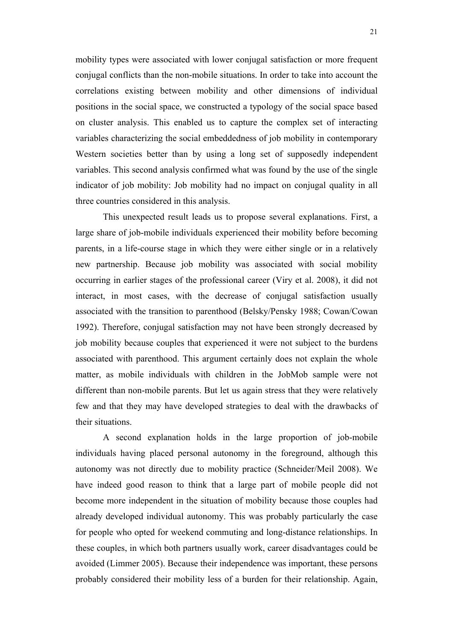mobility types were associated with lower conjugal satisfaction or more frequent conjugal conflicts than the non-mobile situations. In order to take into account the correlations existing between mobility and other dimensions of individual positions in the social space, we constructed a typology of the social space based on cluster analysis. This enabled us to capture the complex set of interacting variables characterizing the social embeddedness of job mobility in contemporary Western societies better than by using a long set of supposedly independent variables. This second analysis confirmed what was found by the use of the single indicator of job mobility: Job mobility had no impact on conjugal quality in all three countries considered in this analysis.

This unexpected result leads us to propose several explanations. First, a large share of job-mobile individuals experienced their mobility before becoming parents, in a life-course stage in which they were either single or in a relatively new partnership. Because job mobility was associated with social mobility occurring in earlier stages of the professional career (Viry et al. 2008), it did not interact, in most cases, with the decrease of conjugal satisfaction usually associated with the transition to parenthood (Belsky/Pensky 1988; Cowan/Cowan 1992). Therefore, conjugal satisfaction may not have been strongly decreased by job mobility because couples that experienced it were not subject to the burdens associated with parenthood. This argument certainly does not explain the whole matter, as mobile individuals with children in the JobMob sample were not different than non-mobile parents. But let us again stress that they were relatively few and that they may have developed strategies to deal with the drawbacks of their situations.

A second explanation holds in the large proportion of job-mobile individuals having placed personal autonomy in the foreground, although this autonomy was not directly due to mobility practice (Schneider/Meil 2008). We have indeed good reason to think that a large part of mobile people did not become more independent in the situation of mobility because those couples had already developed individual autonomy. This was probably particularly the case for people who opted for weekend commuting and long-distance relationships. In these couples, in which both partners usually work, career disadvantages could be avoided (Limmer 2005). Because their independence was important, these persons probably considered their mobility less of a burden for their relationship. Again,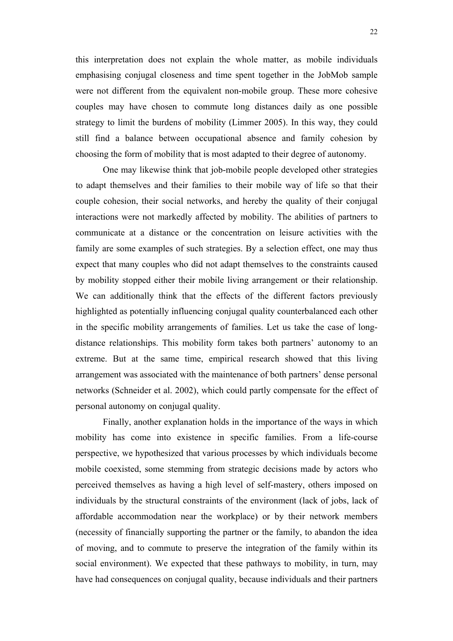this interpretation does not explain the whole matter, as mobile individuals emphasising conjugal closeness and time spent together in the JobMob sample were not different from the equivalent non-mobile group. These more cohesive couples may have chosen to commute long distances daily as one possible strategy to limit the burdens of mobility (Limmer 2005). In this way, they could still find a balance between occupational absence and family cohesion by choosing the form of mobility that is most adapted to their degree of autonomy.

One may likewise think that job-mobile people developed other strategies to adapt themselves and their families to their mobile way of life so that their couple cohesion, their social networks, and hereby the quality of their conjugal interactions were not markedly affected by mobility. The abilities of partners to communicate at a distance or the concentration on leisure activities with the family are some examples of such strategies. By a selection effect, one may thus expect that many couples who did not adapt themselves to the constraints caused by mobility stopped either their mobile living arrangement or their relationship. We can additionally think that the effects of the different factors previously highlighted as potentially influencing conjugal quality counterbalanced each other in the specific mobility arrangements of families. Let us take the case of longdistance relationships. This mobility form takes both partners' autonomy to an extreme. But at the same time, empirical research showed that this living arrangement was associated with the maintenance of both partners' dense personal networks (Schneider et al. 2002), which could partly compensate for the effect of personal autonomy on conjugal quality.

Finally, another explanation holds in the importance of the ways in which mobility has come into existence in specific families. From a life-course perspective, we hypothesized that various processes by which individuals become mobile coexisted, some stemming from strategic decisions made by actors who perceived themselves as having a high level of self-mastery, others imposed on individuals by the structural constraints of the environment (lack of jobs, lack of affordable accommodation near the workplace) or by their network members (necessity of financially supporting the partner or the family, to abandon the idea of moving, and to commute to preserve the integration of the family within its social environment). We expected that these pathways to mobility, in turn, may have had consequences on conjugal quality, because individuals and their partners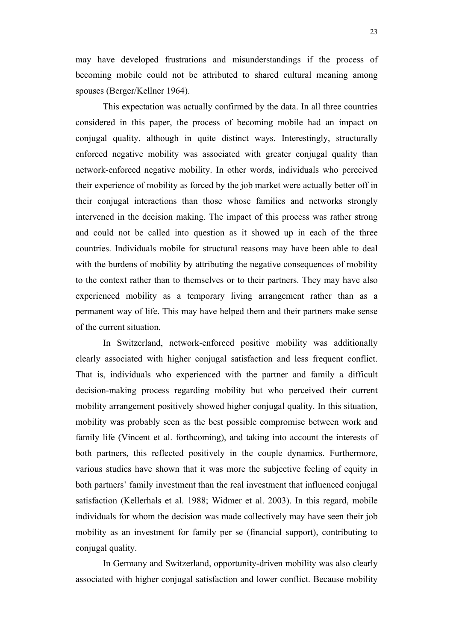may have developed frustrations and misunderstandings if the process of becoming mobile could not be attributed to shared cultural meaning among spouses (Berger/Kellner 1964).

This expectation was actually confirmed by the data. In all three countries considered in this paper, the process of becoming mobile had an impact on conjugal quality, although in quite distinct ways. Interestingly, structurally enforced negative mobility was associated with greater conjugal quality than network-enforced negative mobility. In other words, individuals who perceived their experience of mobility as forced by the job market were actually better off in their conjugal interactions than those whose families and networks strongly intervened in the decision making. The impact of this process was rather strong and could not be called into question as it showed up in each of the three countries. Individuals mobile for structural reasons may have been able to deal with the burdens of mobility by attributing the negative consequences of mobility to the context rather than to themselves or to their partners. They may have also experienced mobility as a temporary living arrangement rather than as a permanent way of life. This may have helped them and their partners make sense of the current situation.

In Switzerland, network-enforced positive mobility was additionally clearly associated with higher conjugal satisfaction and less frequent conflict. That is, individuals who experienced with the partner and family a difficult decision-making process regarding mobility but who perceived their current mobility arrangement positively showed higher conjugal quality. In this situation, mobility was probably seen as the best possible compromise between work and family life (Vincent et al. forthcoming), and taking into account the interests of both partners, this reflected positively in the couple dynamics. Furthermore, various studies have shown that it was more the subjective feeling of equity in both partners' family investment than the real investment that influenced conjugal satisfaction (Kellerhals et al. 1988; Widmer et al. 2003). In this regard, mobile individuals for whom the decision was made collectively may have seen their job mobility as an investment for family per se (financial support), contributing to conjugal quality.

In Germany and Switzerland, opportunity-driven mobility was also clearly associated with higher conjugal satisfaction and lower conflict. Because mobility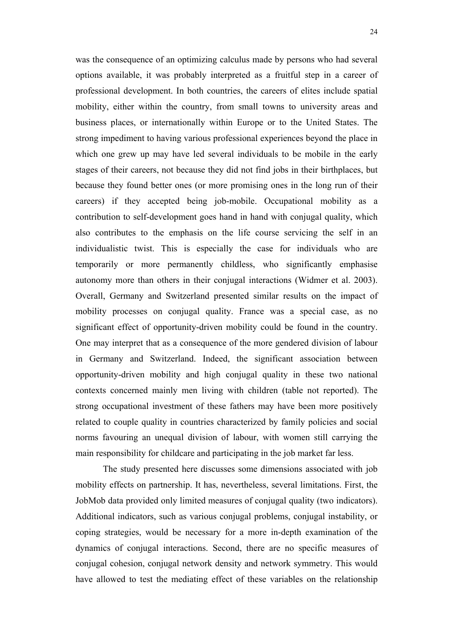was the consequence of an optimizing calculus made by persons who had several options available, it was probably interpreted as a fruitful step in a career of professional development. In both countries, the careers of elites include spatial mobility, either within the country, from small towns to university areas and business places, or internationally within Europe or to the United States. The strong impediment to having various professional experiences beyond the place in which one grew up may have led several individuals to be mobile in the early stages of their careers, not because they did not find jobs in their birthplaces, but because they found better ones (or more promising ones in the long run of their careers) if they accepted being job-mobile. Occupational mobility as a contribution to self-development goes hand in hand with conjugal quality, which also contributes to the emphasis on the life course servicing the self in an individualistic twist. This is especially the case for individuals who are temporarily or more permanently childless, who significantly emphasise autonomy more than others in their conjugal interactions (Widmer et al. 2003). Overall, Germany and Switzerland presented similar results on the impact of mobility processes on conjugal quality. France was a special case, as no significant effect of opportunity-driven mobility could be found in the country. One may interpret that as a consequence of the more gendered division of labour in Germany and Switzerland. Indeed, the significant association between opportunity-driven mobility and high conjugal quality in these two national contexts concerned mainly men living with children (table not reported). The strong occupational investment of these fathers may have been more positively related to couple quality in countries characterized by family policies and social norms favouring an unequal division of labour, with women still carrying the main responsibility for childcare and participating in the job market far less.

The study presented here discusses some dimensions associated with job mobility effects on partnership. It has, nevertheless, several limitations. First, the JobMob data provided only limited measures of conjugal quality (two indicators). Additional indicators, such as various conjugal problems, conjugal instability, or coping strategies, would be necessary for a more in-depth examination of the dynamics of conjugal interactions. Second, there are no specific measures of conjugal cohesion, conjugal network density and network symmetry. This would have allowed to test the mediating effect of these variables on the relationship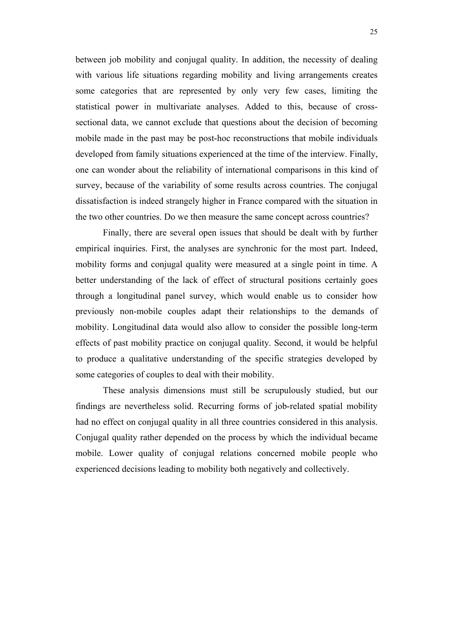between job mobility and conjugal quality. In addition, the necessity of dealing with various life situations regarding mobility and living arrangements creates some categories that are represented by only very few cases, limiting the statistical power in multivariate analyses. Added to this, because of crosssectional data, we cannot exclude that questions about the decision of becoming mobile made in the past may be post-hoc reconstructions that mobile individuals developed from family situations experienced at the time of the interview. Finally, one can wonder about the reliability of international comparisons in this kind of survey, because of the variability of some results across countries. The conjugal dissatisfaction is indeed strangely higher in France compared with the situation in the two other countries. Do we then measure the same concept across countries?

Finally, there are several open issues that should be dealt with by further empirical inquiries. First, the analyses are synchronic for the most part. Indeed, mobility forms and conjugal quality were measured at a single point in time. A better understanding of the lack of effect of structural positions certainly goes through a longitudinal panel survey, which would enable us to consider how previously non-mobile couples adapt their relationships to the demands of mobility. Longitudinal data would also allow to consider the possible long-term effects of past mobility practice on conjugal quality. Second, it would be helpful to produce a qualitative understanding of the specific strategies developed by some categories of couples to deal with their mobility.

These analysis dimensions must still be scrupulously studied, but our findings are nevertheless solid. Recurring forms of job-related spatial mobility had no effect on conjugal quality in all three countries considered in this analysis. Conjugal quality rather depended on the process by which the individual became mobile. Lower quality of conjugal relations concerned mobile people who experienced decisions leading to mobility both negatively and collectively.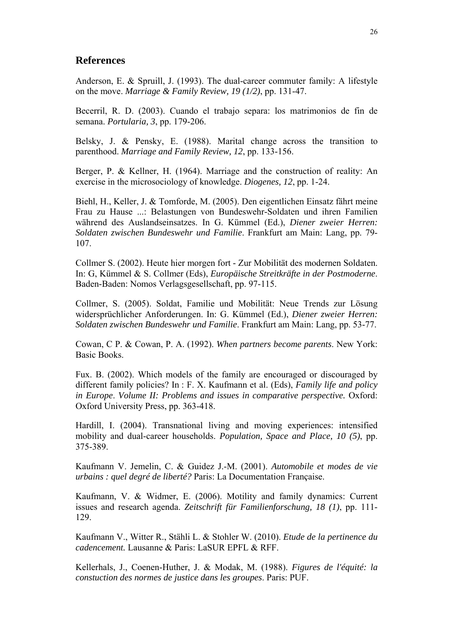# **References**

Anderson, E. & Spruill, J. (1993). The dual-career commuter family: A lifestyle on the move. *Marriage & Family Review, 19 (1/2)*, pp. 131-47.

Becerril, R. D. (2003). Cuando el trabajo separa: los matrimonios de fin de semana. *Portularia, 3*, pp. 179-206.

Belsky, J. & Pensky, E. (1988). Marital change across the transition to parenthood. *Marriage and Family Review, 12*, pp. 133-156.

Berger, P. & Kellner, H. (1964). Marriage and the construction of reality: An exercise in the microsociology of knowledge. *Diogenes, 12*, pp. 1-24.

Biehl, H., Keller, J. & Tomforde, M. (2005). Den eigentlichen Einsatz fährt meine Frau zu Hause ...: Belastungen von Bundeswehr-Soldaten und ihren Familien während des Auslandseinsatzes. In G. Kümmel (Ed.), *Diener zweier Herren: Soldaten zwischen Bundeswehr und Familie*. Frankfurt am Main: Lang, pp. 79- 107.

Collmer S. (2002). Heute hier morgen fort - Zur Mobilität des modernen Soldaten. In: G, Kümmel & S. Collmer (Eds), *Europäische Streitkräfte in der Postmoderne*. Baden-Baden: Nomos Verlagsgesellschaft, pp. 97-115.

Collmer, S. (2005). Soldat, Familie und Mobilität: Neue Trends zur Lösung widersprüchlicher Anforderungen. In: G. Kümmel (Ed.), *Diener zweier Herren: Soldaten zwischen Bundeswehr und Familie*. Frankfurt am Main: Lang, pp. 53-77.

Cowan, C P. & Cowan, P. A. (1992). *When partners become parents*. New York: Basic Books.

Fux. B. (2002). Which models of the family are encouraged or discouraged by different family policies? In : F. X. Kaufmann et al. (Eds), *Family life and policy in Europe*. *Volume II: Problems and issues in comparative perspective.* Oxford: Oxford University Press, pp. 363-418.

Hardill, I. (2004). Transnational living and moving experiences: intensified mobility and dual-career households. *Population, Space and Place, 10 (5)*, pp. 375-389.

Kaufmann V. Jemelin, C. & Guidez J.-M. (2001). *Automobile et modes de vie urbains : quel degré de liberté?* Paris: La Documentation Française.

Kaufmann, V. & Widmer, E. (2006). Motility and family dynamics: Current issues and research agenda. *Zeitschrift für Familienforschung, 18 (1)*, pp. 111- 129.

Kaufmann V., Witter R., Stähli L. & Stohler W. (2010). *Etude de la pertinence du cadencement.* Lausanne & Paris: LaSUR EPFL & RFF.

Kellerhals, J., Coenen-Huther, J. & Modak, M. (1988). *Figures de l'équité: la constuction des normes de justice dans les groupes*. Paris: PUF.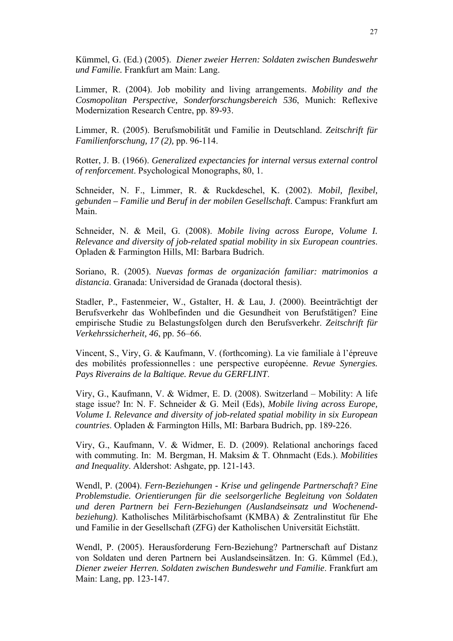Kümmel, G. (Ed.) (2005). *Diener zweier Herren: Soldaten zwischen Bundeswehr und Familie.* Frankfurt am Main: Lang.

Limmer, R. (2004). Job mobility and living arrangements. *Mobility and the Cosmopolitan Perspective, Sonderforschungsbereich 536*, Munich: Reflexive Modernization Research Centre, pp. 89-93.

Limmer, R. (2005). Berufsmobilität und Familie in Deutschland. *Zeitschrift für Familienforschung, 17 (2),* pp. 96-114.

Rotter, J. B. (1966). *Generalized expectancies for internal versus external control of renforcement*. Psychological Monographs, 80, 1.

Schneider, N. F., Limmer, R. & Ruckdeschel, K. (2002). *Mobil, flexibel, gebunden – Familie und Beruf in der mobilen Gesellschaft*. Campus: Frankfurt am Main.

Schneider, N. & Meil, G. (2008). *Mobile living across Europe, Volume I. Relevance and diversity of job-related spatial mobility in six European countries*. Opladen & Farmington Hills, MI: Barbara Budrich.

Soriano, R. (2005). *Nuevas formas de organización familiar: matrimonios a distancia*. Granada: Universidad de Granada (doctoral thesis).

Stadler, P., Fastenmeier, W., Gstalter, H. & Lau, J. (2000). Beeinträchtigt der Berufsverkehr das Wohlbefinden und die Gesundheit von Berufstätigen? Eine empirische Studie zu Belastungsfolgen durch den Berufsverkehr. *Zeitschrift für Verkehrssicherheit, 46*, pp. 56–66.

Vincent, S., Viry, G. & Kaufmann, V. (forthcoming). La vie familiale à l'épreuve des mobilités professionnelles : une perspective européenne. *Revue Synergies. Pays Riverains de la Baltique. Revue du GERFLINT*.

Viry, G., Kaufmann, V. & Widmer, E. D. (2008). Switzerland – Mobility: A life stage issue? In: N. F. Schneider & G. Meil (Eds), *Mobile living across Europe, Volume I. Relevance and diversity of job-related spatial mobility in six European countries*. Opladen & Farmington Hills, MI: Barbara Budrich, pp. 189-226.

Viry, G., Kaufmann, V. & Widmer, E. D. (2009). Relational anchorings faced with commuting. In: M. Bergman, H. Maksim & T. Ohnmacht (Eds.). *Mobilities and Inequality*. Aldershot: Ashgate, pp. 121-143.

Wendl, P. (2004). *Fern-Beziehungen - Krise und gelingende Partnerschaft? Eine Problemstudie. Orientierungen für die seelsorgerliche Begleitung von Soldaten und deren Partnern bei Fern-Beziehungen (Auslandseinsatz und Wochenendbeziehung)*. Katholisches Militärbischofsamt (KMBA) & Zentralinstitut für Ehe und Familie in der Gesellschaft (ZFG) der Katholischen Universität Eichstätt.

Wendl, P. (2005). Herausforderung Fern-Beziehung? Partnerschaft auf Distanz von Soldaten und deren Partnern bei Auslandseinsätzen. In: G. Kümmel (Ed.), *Diener zweier Herren. Soldaten zwischen Bundeswehr und Familie*. Frankfurt am Main: Lang, pp. 123-147.